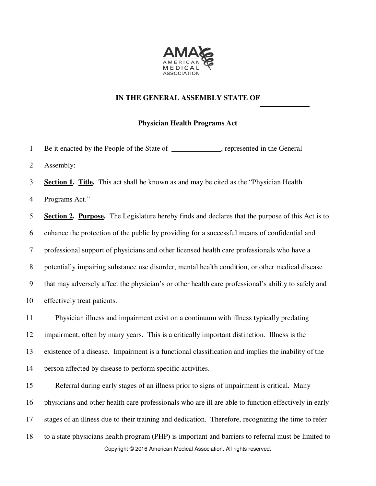

## **IN THE GENERAL ASSEMBLY STATE OF**

## **Physician Health Programs Act**

1 Be it enacted by the People of the State of \_\_\_\_\_\_\_\_\_\_\_\_, represented in the General 2 Assembly:

3 **Section 1. Title.** This act shall be known as and may be cited as the "Physician Health 4 Programs Act."

5 **Section 2. Purpose.** The Legislature hereby finds and declares that the purpose of this Act is to 6 enhance the protection of the public by providing for a successful means of confidential and 7 professional support of physicians and other licensed health care professionals who have a 8 potentially impairing substance use disorder, mental health condition, or other medical disease 9 that may adversely affect the physician's or other health care professional's ability to safely and 10 effectively treat patients.

11 Physician illness and impairment exist on a continuum with illness typically predating 12 impairment, often by many years. This is a critically important distinction. Illness is the 13 existence of a disease. Impairment is a functional classification and implies the inability of the 14 person affected by disease to perform specific activities.

Copyright © 2016 American Medical Association. All rights reserved. 15 Referral during early stages of an illness prior to signs of impairment is critical. Many 16 physicians and other health care professionals who are ill are able to function effectively in early 17 stages of an illness due to their training and dedication. Therefore, recognizing the time to refer 18 to a state physicians health program (PHP) is important and barriers to referral must be limited to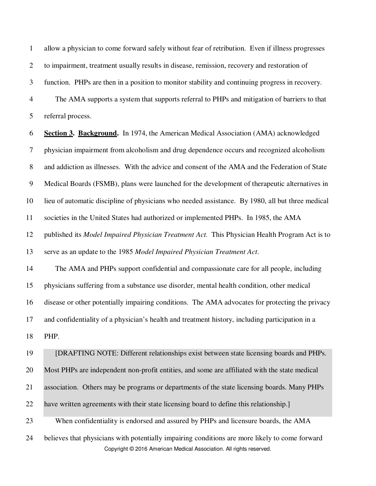1 allow a physician to come forward safely without fear of retribution. Even if illness progresses 2 to impairment, treatment usually results in disease, remission, recovery and restoration of 3 function. PHPs are then in a position to monitor stability and continuing progress in recovery. 4 The AMA supports a system that supports referral to PHPs and mitigation of barriers to that

5 referral process.

6 **Section 3. Background.** In 1974, the American Medical Association (AMA) acknowledged 7 physician impairment from alcoholism and drug dependence occurs and recognized alcoholism 8 and addiction as illnesses. With the advice and consent of the AMA and the Federation of State 9 Medical Boards (FSMB), plans were launched for the development of therapeutic alternatives in 10 lieu of automatic discipline of physicians who needed assistance. By 1980, all but three medical 11 societies in the United States had authorized or implemented PHPs. In 1985, the AMA 12 published its *Model Impaired Physician Treatment Act.* This Physician Health Program Act is to 13 serve as an update to the 1985 *Model Impaired Physician Treatment Act*. 14 The AMA and PHPs support confidential and compassionate care for all people, including 15 physicians suffering from a substance use disorder, mental health condition, other medical 16 disease or other potentially impairing conditions. The AMA advocates for protecting the privacy 17 and confidentiality of a physician's health and treatment history, including participation in a 18 PHP. 19 [DRAFTING NOTE: Different relationships exist between state licensing boards and PHPs. 20 Most PHPs are independent non-profit entities, and some are affiliated with the state medical 21 association. Others may be programs or departments of the state licensing boards. Many PHPs 22 have written agreements with their state licensing board to define this relationship.]

23 When confidentiality is endorsed and assured by PHPs and licensure boards, the AMA

Copyright © 2016 American Medical Association. All rights reserved. 24 believes that physicians with potentially impairing conditions are more likely to come forward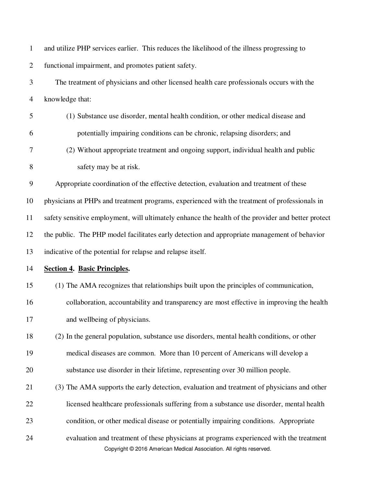| $\mathbf{1}$   | and utilize PHP services earlier. This reduces the likelihood of the illness progressing to                                                                    |
|----------------|----------------------------------------------------------------------------------------------------------------------------------------------------------------|
| $\overline{2}$ | functional impairment, and promotes patient safety.                                                                                                            |
| 3              | The treatment of physicians and other licensed health care professionals occurs with the                                                                       |
| $\overline{4}$ | knowledge that:                                                                                                                                                |
| 5              | (1) Substance use disorder, mental health condition, or other medical disease and                                                                              |
| 6              | potentially impairing conditions can be chronic, relapsing disorders; and                                                                                      |
| 7              | (2) Without appropriate treatment and ongoing support, individual health and public                                                                            |
| 8              | safety may be at risk.                                                                                                                                         |
| 9              | Appropriate coordination of the effective detection, evaluation and treatment of these                                                                         |
| 10             | physicians at PHPs and treatment programs, experienced with the treatment of professionals in                                                                  |
| 11             | safety sensitive employment, will ultimately enhance the health of the provider and better protect                                                             |
| 12             | the public. The PHP model facilitates early detection and appropriate management of behavior                                                                   |
| 13             | indicative of the potential for relapse and relapse itself.                                                                                                    |
| 14             | <b>Section 4. Basic Principles.</b>                                                                                                                            |
| 15             | (1) The AMA recognizes that relationships built upon the principles of communication,                                                                          |
| 16             | collaboration, accountability and transparency are most effective in improving the health                                                                      |
| 17             | and wellbeing of physicians.                                                                                                                                   |
| 18             | (2) In the general population, substance use disorders, mental health conditions, or other                                                                     |
| 19             | medical diseases are common. More than 10 percent of Americans will develop a                                                                                  |
| 20             | substance use disorder in their lifetime, representing over 30 million people.                                                                                 |
| 21             | (3) The AMA supports the early detection, evaluation and treatment of physicians and other                                                                     |
| 22             | licensed healthcare professionals suffering from a substance use disorder, mental health                                                                       |
| 23             | condition, or other medical disease or potentially impairing conditions. Appropriate                                                                           |
| 24             | evaluation and treatment of these physicians at programs experienced with the treatment<br>Copyright © 2016 American Medical Association. All rights reserved. |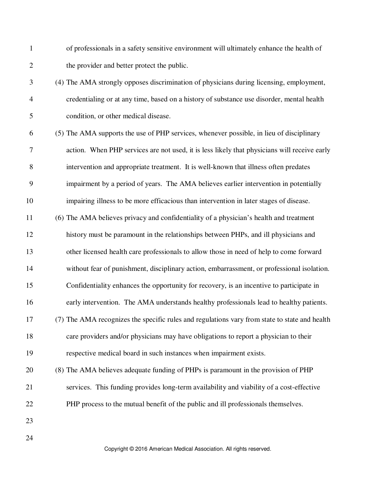1 of professionals in a safety sensitive environment will ultimately enhance the health of 2 the provider and better protect the public.

- 3 (4) The AMA strongly opposes discrimination of physicians during licensing, employment, 4 credentialing or at any time, based on a history of substance use disorder, mental health 5 condition, or other medical disease.
- 6 (5) The AMA supports the use of PHP services, whenever possible, in lieu of disciplinary 7 action. When PHP services are not used, it is less likely that physicians will receive early 8 intervention and appropriate treatment. It is well-known that illness often predates 9 impairment by a period of years. The AMA believes earlier intervention in potentially
- 10 impairing illness to be more efficacious than intervention in later stages of disease.
- 11 (6) The AMA believes privacy and confidentiality of a physician's health and treatment
- 12 history must be paramount in the relationships between PHPs, and ill physicians and
- 13 other licensed health care professionals to allow those in need of help to come forward
- 14 without fear of punishment, disciplinary action, embarrassment, or professional isolation.
- 15 Confidentiality enhances the opportunity for recovery, is an incentive to participate in
- 16 early intervention. The AMA understands healthy professionals lead to healthy patients.
- 17 (7) The AMA recognizes the specific rules and regulations vary from state to state and health 18 care providers and/or physicians may have obligations to report a physician to their
- 19 respective medical board in such instances when impairment exists.
- 20 (8) The AMA believes adequate funding of PHPs is paramount in the provision of PHP 21 services. This funding provides long-term availability and viability of a cost-effective 22 PHP process to the mutual benefit of the public and ill professionals themselves.
- 23

24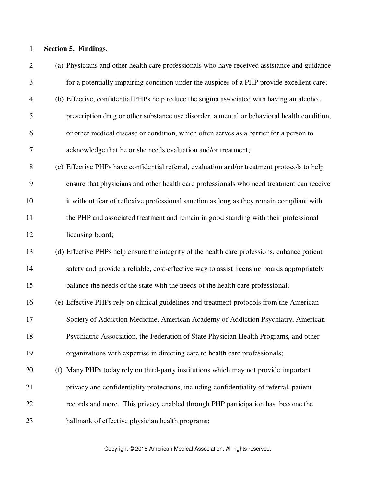## 1 **Section 5. Findings.**

| $\mathbf{2}$   | (a) Physicians and other health care professionals who have received assistance and guidance |
|----------------|----------------------------------------------------------------------------------------------|
| 3              | for a potentially impairing condition under the auspices of a PHP provide excellent care;    |
| $\overline{4}$ | (b) Effective, confidential PHPs help reduce the stigma associated with having an alcohol,   |
| 5              | prescription drug or other substance use disorder, a mental or behavioral health condition,  |
| 6              | or other medical disease or condition, which often serves as a barrier for a person to       |
| $\tau$         | acknowledge that he or she needs evaluation and/or treatment;                                |
| $8\,$          | (c) Effective PHPs have confidential referral, evaluation and/or treatment protocols to help |
| 9              | ensure that physicians and other health care professionals who need treatment can receive    |
| 10             | it without fear of reflexive professional sanction as long as they remain compliant with     |
| 11             | the PHP and associated treatment and remain in good standing with their professional         |
| 12             | licensing board;                                                                             |
| 13             | (d) Effective PHPs help ensure the integrity of the health care professions, enhance patient |
| 14             | safety and provide a reliable, cost-effective way to assist licensing boards appropriately   |
| 15             | balance the needs of the state with the needs of the health care professional;               |
| 16             | (e) Effective PHPs rely on clinical guidelines and treatment protocols from the American     |
| 17             | Society of Addiction Medicine, American Academy of Addiction Psychiatry, American            |
| 18             | Psychiatric Association, the Federation of State Physician Health Programs, and other        |
| 19             | organizations with expertise in directing care to health care professionals;                 |
| 20             | (f) Many PHPs today rely on third-party institutions which may not provide important         |
| 21             | privacy and confidentiality protections, including confidentiality of referral, patient      |
| 22             | records and more. This privacy enabled through PHP participation has become the              |
| 23             | hallmark of effective physician health programs;                                             |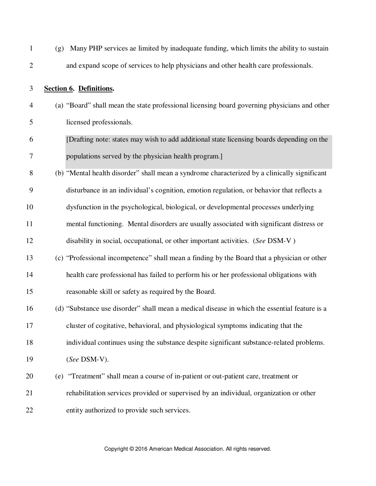| $\mathbf{1}$   | Many PHP services ae limited by inadequate funding, which limits the ability to sustain<br>(g) |  |
|----------------|------------------------------------------------------------------------------------------------|--|
| $\mathbf{2}$   | and expand scope of services to help physicians and other health care professionals.           |  |
| 3              | Section 6. Definitions.                                                                        |  |
| $\overline{4}$ | (a) "Board" shall mean the state professional licensing board governing physicians and other   |  |
| 5              | licensed professionals.                                                                        |  |
| 6              | [Drafting note: states may wish to add additional state licensing boards depending on the      |  |
| 7              | populations served by the physician health program.]                                           |  |
| 8              | (b) "Mental health disorder" shall mean a syndrome characterized by a clinically significant   |  |
| 9              | disturbance in an individual's cognition, emotion regulation, or behavior that reflects a      |  |
| 10             | dysfunction in the psychological, biological, or developmental processes underlying            |  |
| 11             | mental functioning. Mental disorders are usually associated with significant distress or       |  |
| 12             | disability in social, occupational, or other important activities. (See DSM-V)                 |  |
| 13             | (c) "Professional incompetence" shall mean a finding by the Board that a physician or other    |  |
| 14             | health care professional has failed to perform his or her professional obligations with        |  |
| 15             | reasonable skill or safety as required by the Board.                                           |  |
| 16             | (d) "Substance use disorder" shall mean a medical disease in which the essential feature is a  |  |
| 17             | cluster of cogitative, behavioral, and physiological symptoms indicating that the              |  |
| 18             | individual continues using the substance despite significant substance-related problems.       |  |
| 19             | (See DSM-V).                                                                                   |  |
| 20             | "Treatment" shall mean a course of in-patient or out-patient care, treatment or<br>(e)         |  |
| 21             | rehabilitation services provided or supervised by an individual, organization or other         |  |
| 22             | entity authorized to provide such services.                                                    |  |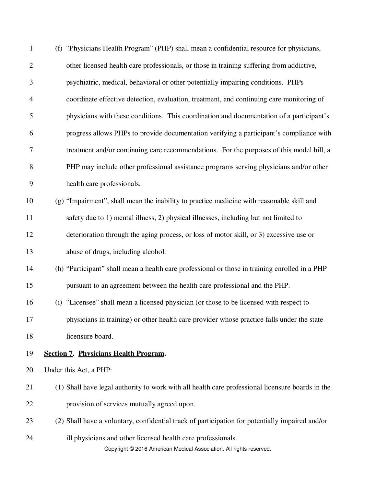| $\mathbf{1}$ | (f) "Physicians Health Program" (PHP) shall mean a confidential resource for physicians,                                            |
|--------------|-------------------------------------------------------------------------------------------------------------------------------------|
| $\mathbf{2}$ | other licensed health care professionals, or those in training suffering from addictive,                                            |
| 3            | psychiatric, medical, behavioral or other potentially impairing conditions. PHPs                                                    |
| 4            | coordinate effective detection, evaluation, treatment, and continuing care monitoring of                                            |
| 5            | physicians with these conditions. This coordination and documentation of a participant's                                            |
| 6            | progress allows PHPs to provide documentation verifying a participant's compliance with                                             |
| 7            | treatment and/or continuing care recommendations. For the purposes of this model bill, a                                            |
| 8            | PHP may include other professional assistance programs serving physicians and/or other                                              |
| 9            | health care professionals.                                                                                                          |
| 10           | (g) "Impairment", shall mean the inability to practice medicine with reasonable skill and                                           |
| 11           | safety due to 1) mental illness, 2) physical illnesses, including but not limited to                                                |
| 12           | deterioration through the aging process, or loss of motor skill, or 3) excessive use or                                             |
| 13           | abuse of drugs, including alcohol.                                                                                                  |
| 14           | (h) "Participant" shall mean a health care professional or those in training enrolled in a PHP                                      |
| 15           | pursuant to an agreement between the health care professional and the PHP.                                                          |
| 16           | (i) "Licensee" shall mean a licensed physician (or those to be licensed with respect to                                             |
| 17           | physicians in training) or other health care provider whose practice falls under the state                                          |
| 18           | licensure board.                                                                                                                    |
| 19           | <b>Section 7. Physicians Health Program.</b>                                                                                        |
| 20           | Under this Act, a PHP:                                                                                                              |
| 21           | (1) Shall have legal authority to work with all health care professional licensure boards in the                                    |
| 22           | provision of services mutually agreed upon.                                                                                         |
| 23           | (2) Shall have a voluntary, confidential track of participation for potentially impaired and/or                                     |
| 24           | ill physicians and other licensed health care professionals.<br>Copyright © 2016 American Medical Association. All rights reserved. |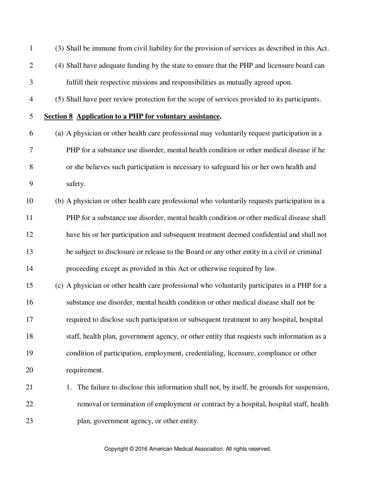| $\mathbf{1}$   | (3) Shall be immune from civil liability for the provision of services as described in this Act. |
|----------------|--------------------------------------------------------------------------------------------------|
| $\mathbf{2}$   | (4) Shall have adequate funding by the state to ensure that the PHP and licensure board can      |
| 3              | fulfill their respective missions and responsibilities as mutually agreed upon.                  |
| $\overline{4}$ | (5) Shall have peer review protection for the scope of services provided to its participants.    |
| 5              | <b>Section 8 Application to a PHP for voluntary assistance.</b>                                  |
| 6              | (a) A physician or other health care professional may voluntarily request participation in a     |
| 7              | PHP for a substance use disorder, mental health condition or other medical disease if he         |
| 8              | or she believes such participation is necessary to safeguard his or her own health and           |
| 9              | safety.                                                                                          |
| 10             | (b) A physician or other health care professional who voluntarily requests participation in a    |
| 11             | PHP for a substance use disorder, mental health condition or other medical disease shall         |
| 12             | have his or her participation and subsequent treatment deemed confidential and shall not         |
| 13             | be subject to disclosure or release to the Board or any other entity in a civil or criminal      |
| 14             | proceeding except as provided in this Act or otherwise required by law.                          |
| 15             | (c) A physician or other health care professional who voluntarily participates in a PHP for a    |
| 16             | substance use disorder, mental health condition or other medical disease shall not be            |
| 17             | required to disclose such participation or subsequent treatment to any hospital, hospital        |
| 18             | staff, health plan, government agency, or other entity that requests such information as a       |
| 19             | condition of participation, employment, credentialing, licensure, compliance or other            |
| 20             | requirement.                                                                                     |
| 21             | The failure to disclose this information shall not, by itself, be grounds for suspension,<br>1.  |
| 22             | removal or termination of employment or contract by a hospital, hospital staff, health           |
| 23             | plan, government agency, or other entity.                                                        |
|                |                                                                                                  |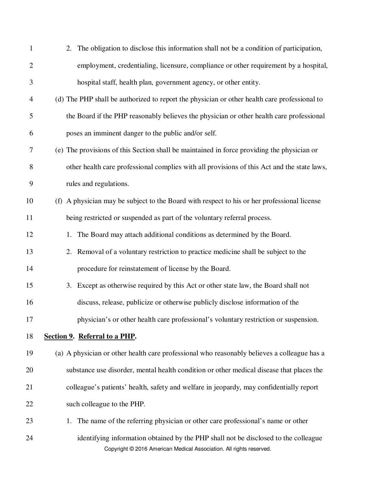| $\mathbf{1}$   | 2. The obligation to disclose this information shall not be a condition of participation,                                                                  |
|----------------|------------------------------------------------------------------------------------------------------------------------------------------------------------|
| $\mathbf{2}$   | employment, credentialing, licensure, compliance or other requirement by a hospital,                                                                       |
| $\mathfrak{Z}$ | hospital staff, health plan, government agency, or other entity.                                                                                           |
| $\overline{4}$ | (d) The PHP shall be authorized to report the physician or other health care professional to                                                               |
| 5              | the Board if the PHP reasonably believes the physician or other health care professional                                                                   |
| 6              | poses an imminent danger to the public and/or self.                                                                                                        |
| 7              | (e) The provisions of this Section shall be maintained in force providing the physician or                                                                 |
| 8              | other health care professional complies with all provisions of this Act and the state laws,                                                                |
| 9              | rules and regulations.                                                                                                                                     |
| 10             | (f) A physician may be subject to the Board with respect to his or her professional license                                                                |
| 11             | being restricted or suspended as part of the voluntary referral process.                                                                                   |
| 12             | The Board may attach additional conditions as determined by the Board.<br>1.                                                                               |
| 13             | 2. Removal of a voluntary restriction to practice medicine shall be subject to the                                                                         |
| 14             | procedure for reinstatement of license by the Board.                                                                                                       |
| 15             | 3. Except as otherwise required by this Act or other state law, the Board shall not                                                                        |
| 16             | discuss, release, publicize or otherwise publicly disclose information of the                                                                              |
| 17             | physician's or other health care professional's voluntary restriction or suspension.                                                                       |
| 18             | Section 9. Referral to a PHP.                                                                                                                              |
| 19             | (a) A physician or other health care professional who reasonably believes a colleague has a                                                                |
| 20             | substance use disorder, mental health condition or other medical disease that places the                                                                   |
| 21             | colleague's patients' health, safety and welfare in jeopardy, may confidentially report                                                                    |
| 22             | such colleague to the PHP.                                                                                                                                 |
| 23             | The name of the referring physician or other care professional's name or other<br>1.                                                                       |
| 24             | identifying information obtained by the PHP shall not be disclosed to the colleague<br>Copyright @ 2016 American Medical Association. All rights reserved. |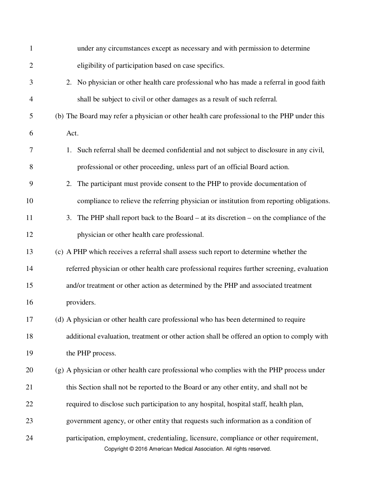| $\mathbf{1}$   | under any circumstances except as necessary and with permission to determine                                                                                 |
|----------------|--------------------------------------------------------------------------------------------------------------------------------------------------------------|
| $\mathbf{2}$   | eligibility of participation based on case specifics.                                                                                                        |
| 3              | No physician or other health care professional who has made a referral in good faith<br>2.                                                                   |
| $\overline{4}$ | shall be subject to civil or other damages as a result of such referral.                                                                                     |
| 5              | (b) The Board may refer a physician or other health care professional to the PHP under this                                                                  |
| 6              | Act.                                                                                                                                                         |
| 7              | Such referral shall be deemed confidential and not subject to disclosure in any civil,<br>1.                                                                 |
| 8              | professional or other proceeding, unless part of an official Board action.                                                                                   |
| 9              | The participant must provide consent to the PHP to provide documentation of<br>2.                                                                            |
| 10             | compliance to relieve the referring physician or institution from reporting obligations.                                                                     |
| 11             | The PHP shall report back to the Board $-$ at its discretion $-$ on the compliance of the<br>3.                                                              |
| 12             | physician or other health care professional.                                                                                                                 |
| 13             | (c) A PHP which receives a referral shall assess such report to determine whether the                                                                        |
| 14             | referred physician or other health care professional requires further screening, evaluation                                                                  |
| 15             | and/or treatment or other action as determined by the PHP and associated treatment                                                                           |
| 16             | providers.                                                                                                                                                   |
| 17             | (d) A physician or other health care professional who has been determined to require                                                                         |
| 18             | additional evaluation, treatment or other action shall be offered an option to comply with                                                                   |
| 19             | the PHP process.                                                                                                                                             |
| 20             | (g) A physician or other health care professional who complies with the PHP process under                                                                    |
| 21             | this Section shall not be reported to the Board or any other entity, and shall not be                                                                        |
| 22             | required to disclose such participation to any hospital, hospital staff, health plan,                                                                        |
| 23             | government agency, or other entity that requests such information as a condition of                                                                          |
| 24             | participation, employment, credentialing, licensure, compliance or other requirement,<br>Copyright © 2016 American Medical Association. All rights reserved. |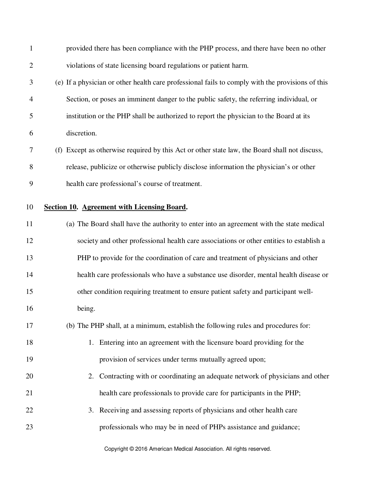| $\mathbf{1}$   | provided there has been compliance with the PHP process, and there have been no other            |
|----------------|--------------------------------------------------------------------------------------------------|
| $\overline{2}$ | violations of state licensing board regulations or patient harm.                                 |
| 3              | (e) If a physician or other health care professional fails to comply with the provisions of this |
| 4              | Section, or poses an imminent danger to the public safety, the referring individual, or          |
| 5              | institution or the PHP shall be authorized to report the physician to the Board at its           |
| 6              | discretion.                                                                                      |
| 7              | (f) Except as otherwise required by this Act or other state law, the Board shall not discuss,    |
| 8              | release, publicize or otherwise publicly disclose information the physician's or other           |
| 9              | health care professional's course of treatment.                                                  |
| 10             | Section 10. Agreement with Licensing Board.                                                      |
| 11             | (a) The Board shall have the authority to enter into an agreement with the state medical         |
| 12             | society and other professional health care associations or other entities to establish a         |
| 13             | PHP to provide for the coordination of care and treatment of physicians and other                |
| 14             | health care professionals who have a substance use disorder, mental health disease or            |
| 15             | other condition requiring treatment to ensure patient safety and participant well-               |
| 16             | being.                                                                                           |
| 17             | (b) The PHP shall, at a minimum, establish the following rules and procedures for:               |
| 18             | 1. Entering into an agreement with the licensure board providing for the                         |
| 19             | provision of services under terms mutually agreed upon;                                          |
| 20             | Contracting with or coordinating an adequate network of physicians and other<br>2.               |
| 21             | health care professionals to provide care for participants in the PHP;                           |
| 22             | 3. Receiving and assessing reports of physicians and other health care                           |
| 23             | professionals who may be in need of PHPs assistance and guidance;                                |
|                |                                                                                                  |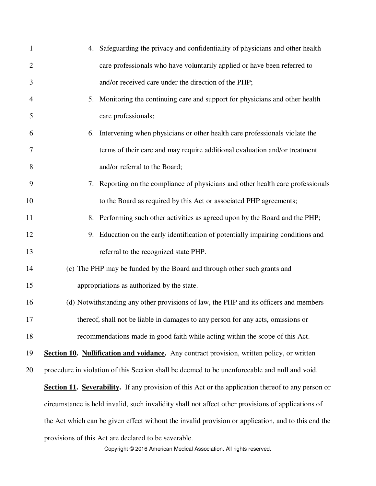| $\mathbf{1}$   | 4. Safeguarding the privacy and confidentiality of physicians and other health                            |
|----------------|-----------------------------------------------------------------------------------------------------------|
| $\overline{2}$ | care professionals who have voluntarily applied or have been referred to                                  |
| 3              | and/or received care under the direction of the PHP;                                                      |
| $\overline{4}$ | Monitoring the continuing care and support for physicians and other health<br>5.                          |
| 5              | care professionals;                                                                                       |
| 6              | Intervening when physicians or other health care professionals violate the<br>6.                          |
| 7              | terms of their care and may require additional evaluation and/or treatment                                |
| 8              | and/or referral to the Board;                                                                             |
| 9              | Reporting on the compliance of physicians and other health care professionals<br>7.                       |
| 10             | to the Board as required by this Act or associated PHP agreements;                                        |
| 11             | 8. Performing such other activities as agreed upon by the Board and the PHP;                              |
| 12             | Education on the early identification of potentially impairing conditions and<br>9.                       |
| 13             | referral to the recognized state PHP.                                                                     |
| 14             | (c) The PHP may be funded by the Board and through other such grants and                                  |
| 15             | appropriations as authorized by the state.                                                                |
| 16             | (d) Notwithstanding any other provisions of law, the PHP and its officers and members                     |
| 17             | thereof, shall not be liable in damages to any person for any acts, omissions or                          |
| 18             | recommendations made in good faith while acting within the scope of this Act.                             |
| 19             | <b>Section 10. Nullification and voidance.</b> Any contract provision, written policy, or written         |
| 20             | procedure in violation of this Section shall be deemed to be unenforceable and null and void.             |
|                | <b>Section 11. Severability.</b> If any provision of this Act or the application thereof to any person or |
|                | circumstance is held invalid, such invalidity shall not affect other provisions of applications of        |
|                | the Act which can be given effect without the invalid provision or application, and to this end the       |
|                | provisions of this Act are declared to be severable.                                                      |
|                | Copyright © 2016 American Medical Association. All rights reserved.                                       |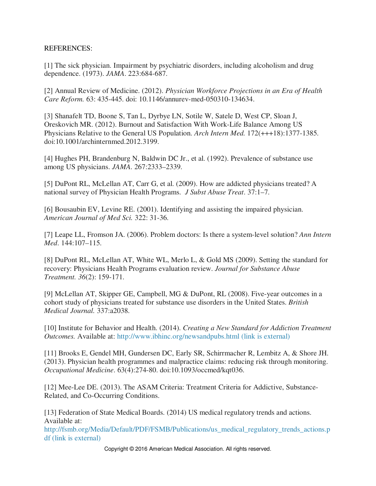## REFERENCES:

[1] The sick physician. Impairment by psychiatric disorders, including alcoholism and drug dependence. (1973). *JAMA*. 223:684-687.

[2] Annual Review of Medicine. (2012). *Physician Workforce Projections in an Era of Health Care Reform.* 63: 435-445. doi: 10.1146/annurev-med-050310-134634.

[3] Shanafelt TD, Boone S, Tan L, Dyrbye LN, Sotile W, Satele D, West CP, Sloan J, Oreskovich MR. (2012). Burnout and Satisfaction With Work-Life Balance Among US Physicians Relative to the General US Population. *Arch Intern Med.* 172(+++18):1377-1385. doi:10.1001/archinternmed.2012.3199.

[4] Hughes PH, Brandenburg N, Baldwin DC Jr., et al. (1992). Prevalence of substance use among US physicians. *JAMA*. 267:2333–2339.

[5] DuPont RL, McLellan AT, Carr G, et al. (2009). How are addicted physicians treated? A national survey of Physician Health Programs. *J Subst Abuse Treat*. 37:1–7.

[6] Bousaubin EV, Levine RE. (2001). Identifying and assisting the impaired physician. *American Journal of Med Sci.* 322: 31-36.

[7] Leape LL, Fromson JA. (2006). Problem doctors: Is there a system-level solution? *Ann Intern Med*. 144:107–115.

[8] DuPont RL, McLellan AT, White WL, Merlo L, & Gold MS (2009). Setting the standard for recovery: Physicians Health Programs evaluation review. *Journal for Substance Abuse Treatment. 36*(2): 159-171.

[9] McLellan AT, Skipper GE, Campbell, MG & DuPont, RL (2008). Five-year outcomes in a cohort study of physicians treated for substance use disorders in the United States. *British Medical Journal.* 337:a2038.

[10] Institute for Behavior and Health. (2014). *Creating a New Standard for Addiction Treatment Outcomes.* Available at: http://www.ibhinc.org/newsandpubs.html (link is external)

[11] Brooks E, Gendel MH, Gundersen DC, Early SR, Schirrmacher R, Lembitz A, & Shore JH. (2013). Physician health programmes and malpractice claims: reducing risk through monitoring. *Occupational Medicine*. 63(4):274-80. doi:10.1093/occmed/kqt036.

[12] Mee-Lee DE. (2013). The ASAM Criteria: Treatment Criteria for Addictive, Substance-Related, and Co-Occurring Conditions.

[13] Federation of State Medical Boards. (2014) US medical regulatory trends and actions. Available at:

http://fsmb.org/Media/Default/PDF/FSMB/Publications/us\_medical\_regulatory\_trends\_actions.p df (link is external)